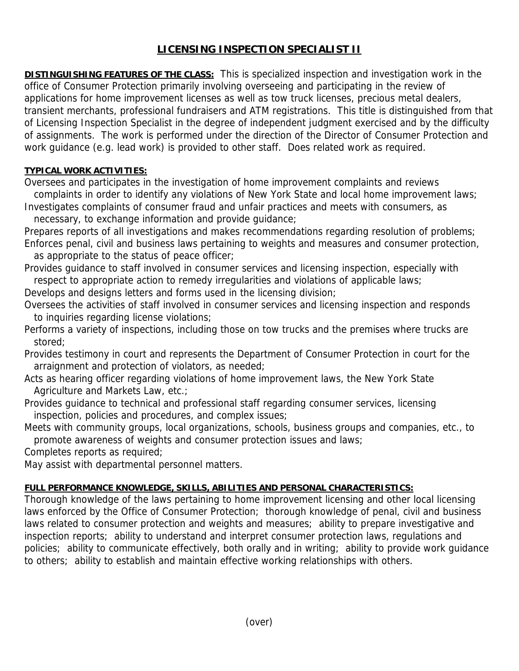## **LICENSING INSPECTION SPECIALIST II**

**DISTINGUISHING FEATURES OF THE CLASS:** This is specialized inspection and investigation work in the office of Consumer Protection primarily involving overseeing and participating in the review of applications for home improvement licenses as well as tow truck licenses, precious metal dealers, transient merchants, professional fundraisers and ATM registrations. This title is distinguished from that of Licensing Inspection Specialist in the degree of independent judgment exercised and by the difficulty of assignments. The work is performed under the direction of the Director of Consumer Protection and work guidance (e.g. lead work) is provided to other staff. Does related work as required.

## **TYPICAL WORK ACTIVITIES:**

Oversees and participates in the investigation of home improvement complaints and reviews complaints in order to identify any violations of New York State and local home improvement laws;

Investigates complaints of consumer fraud and unfair practices and meets with consumers, as necessary, to exchange information and provide guidance;

Prepares reports of all investigations and makes recommendations regarding resolution of problems; Enforces penal, civil and business laws pertaining to weights and measures and consumer protection,

as appropriate to the status of peace officer;

Provides guidance to staff involved in consumer services and licensing inspection, especially with respect to appropriate action to remedy irregularities and violations of applicable laws;

Develops and designs letters and forms used in the licensing division;

Oversees the activities of staff involved in consumer services and licensing inspection and responds to inquiries regarding license violations;

Performs a variety of inspections, including those on tow trucks and the premises where trucks are stored;

Provides testimony in court and represents the Department of Consumer Protection in court for the arraignment and protection of violators, as needed;

Acts as hearing officer regarding violations of home improvement laws, the New York State Agriculture and Markets Law, etc.;

Provides guidance to technical and professional staff regarding consumer services, licensing inspection, policies and procedures, and complex issues;

Meets with community groups, local organizations, schools, business groups and companies, etc., to promote awareness of weights and consumer protection issues and laws;

Completes reports as required;

May assist with departmental personnel matters.

## **FULL PERFORMANCE KNOWLEDGE, SKILLS, ABILITIES AND PERSONAL CHARACTERISTICS:**

Thorough knowledge of the laws pertaining to home improvement licensing and other local licensing laws enforced by the Office of Consumer Protection; thorough knowledge of penal, civil and business laws related to consumer protection and weights and measures; ability to prepare investigative and inspection reports; ability to understand and interpret consumer protection laws, regulations and policies; ability to communicate effectively, both orally and in writing; ability to provide work guidance to others; ability to establish and maintain effective working relationships with others.